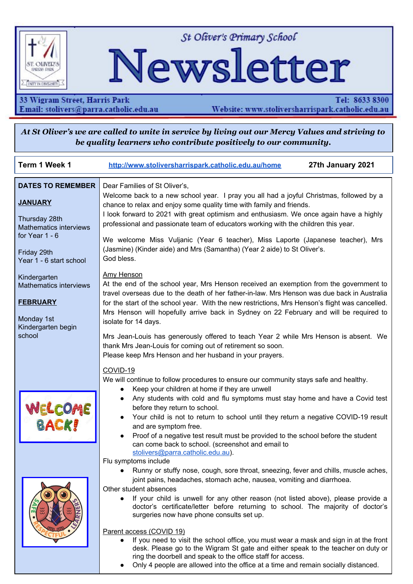

St Oliver's Primary School

# Newsletter

33 Wigram Street, Harris Park Email: stolivers@parra.catholic.edu.au

Tel: 8633 8300 Website: www.stoliversharrispark.catholic.edu.au

At St Oliver's we are called to unite in service by living out our Mercy Values and striving to *be quality learners who contribute positively to our community.*

| Term 1 Week 1                                                                                                                                              | 27th January 2021<br>http://www.stoliversharrispark.catholic.edu.au/home                                                                                                                                                                                                                                                                                                                                                                                                                                                                                                                                                                                                                      |  |
|------------------------------------------------------------------------------------------------------------------------------------------------------------|-----------------------------------------------------------------------------------------------------------------------------------------------------------------------------------------------------------------------------------------------------------------------------------------------------------------------------------------------------------------------------------------------------------------------------------------------------------------------------------------------------------------------------------------------------------------------------------------------------------------------------------------------------------------------------------------------|--|
| <b>DATES TO REMEMBER</b><br><b>JANUARY</b><br>Thursday 28th<br><b>Mathematics interviews</b><br>for Year $1 - 6$<br>Friday 29th<br>Year 1 - 6 start school | Dear Families of St Oliver's,<br>Welcome back to a new school year. I pray you all had a joyful Christmas, followed by a<br>chance to relax and enjoy some quality time with family and friends.<br>I look forward to 2021 with great optimism and enthusiasm. We once again have a highly<br>professional and passionate team of educators working with the children this year.<br>We welcome Miss Vuljanic (Year 6 teacher), Miss Laporte (Japanese teacher), Mrs<br>(Jasmine) (Kinder aide) and Mrs (Samantha) (Year 2 aide) to St Oliver's.<br>God bless.                                                                                                                                 |  |
| Kindergarten<br><b>Mathematics interviews</b><br><b>FEBRUARY</b><br>Monday 1st<br>Kindergarten begin<br>school                                             | <b>Amy Henson</b><br>At the end of the school year, Mrs Henson received an exemption from the government to<br>travel overseas due to the death of her father-in-law. Mrs Henson was due back in Australia<br>for the start of the school year. With the new restrictions, Mrs Henson's flight was cancelled.<br>Mrs Henson will hopefully arrive back in Sydney on 22 February and will be required to<br>isolate for 14 days.<br>Mrs Jean-Louis has generously offered to teach Year 2 while Mrs Henson is absent. We<br>thank Mrs Jean-Louis for coming out of retirement so soon.<br>Please keep Mrs Henson and her husband in your prayers.                                              |  |
| <b>WELCOME</b><br>BACK!                                                                                                                                    | COVID-19<br>We will continue to follow procedures to ensure our community stays safe and healthy.<br>Keep your children at home if they are unwell<br>$\bullet$<br>Any students with cold and flu symptoms must stay home and have a Covid test<br>before they return to school.<br>Your child is not to return to school until they return a negative COVID-19 result<br>and are symptom free.<br>Proof of a negative test result must be provided to the school before the student<br>can come back to school. (screenshot and email to<br>stolivers@parra.catholic.edu.au).<br>Flu symptoms include<br>Runny or stuffy nose, cough, sore throat, sneezing, fever and chills, muscle aches, |  |
|                                                                                                                                                            | joint pains, headaches, stomach ache, nausea, vomiting and diarrhoea.<br>Other student absences<br>If your child is unwell for any other reason (not listed above), please provide a<br>doctor's certificate/letter before returning to school. The majority of doctor's<br>surgeries now have phone consults set up.<br>Parent access (COVID 19)<br>If you need to visit the school office, you must wear a mask and sign in at the front<br>desk. Please go to the Wigram St gate and either speak to the teacher on duty or<br>ring the doorbell and speak to the office staff for access.                                                                                                 |  |

Only 4 people are allowed into the office at a time and remain socially distanced.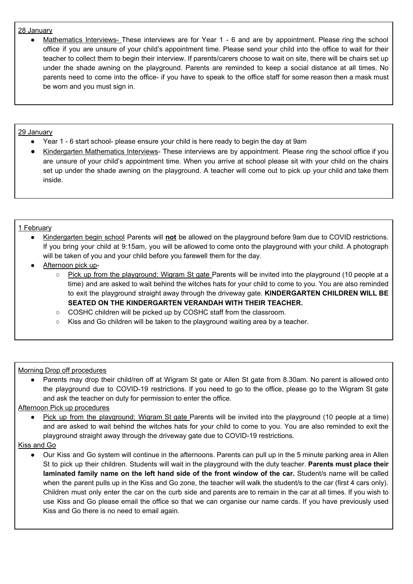### 28 January

• Mathematics Interviews- These interviews are for Year 1 - 6 and are by appointment. Please ring the school office if you are unsure of your child's appointment time. Please send your child into the office to wait for their teacher to collect them to begin their interview. If parents/carers choose to wait on site, there will be chairs set up under the shade awning on the playground. Parents are reminded to keep a social distance at all times. No parents need to come into the office- if you have to speak to the office staff for some reason then a mask must be worn and you must sign in.

### 29 January

- Year 1 6 start school- please ensure your child is here ready to begin the day at 9am
- Kindergarten Mathematics Interviews- These interviews are by appointment. Please ring the school office if you are unsure of your child's appointment time. When you arrive at school please sit with your child on the chairs set up under the shade awning on the playground. A teacher will come out to pick up your child and take them inside.

# 1 February

- Kindergarten begin school Parents will **not** be allowed on the playground before 9am due to COVID restrictions. If you bring your child at 9:15am, you will be allowed to come onto the playground with your child. A photograph will be taken of you and your child before you farewell them for the day.
- Afternoon pick up-
	- Pick up from the playground: Wigram St gate Parents will be invited into the playground (10 people at a time) and are asked to wait behind the witches hats for your child to come to you. You are also reminded to exit the playground straight away through the driveway gate. **KINDERGARTEN CHILDREN WILL BE SEATED ON THE KINDERGARTEN VERANDAH WITH THEIR TEACHER.**
	- COSHC children will be picked up by COSHC staff from the classroom.
	- Kiss and Go children will be taken to the playground waiting area by a teacher.

# Morning Drop off procedures

Parents may drop their child/ren off at Wigram St gate or Allen St gate from 8.30am. No parent is allowed onto the playground due to COVID-19 restrictions. If you need to go to the office, please go to the Wigram St gate and ask the teacher on duty for permission to enter the office.

# Afternoon Pick up procedures

- Pick up from the playground: Wigram St gate Parents will be invited into the playground (10 people at a time) and are asked to wait behind the witches hats for your child to come to you. You are also reminded to exit the playground straight away through the driveway gate due to COVID-19 restrictions.
- Kiss and Go
	- Our Kiss and Go system will continue in the afternoons. Parents can pull up in the 5 minute parking area in Allen St to pick up their children. Students will wait in the playground with the duty teacher. **Parents must place their laminated family name on the left hand side of the front window of the car.** Student/s name will be called when the parent pulls up in the Kiss and Go zone, the teacher will walk the student/s to the car (first 4 cars only). Children must only enter the car on the curb side and parents are to remain in the car at all times. If you wish to use Kiss and Go please email the office so that we can organise our name cards. If you have previously used Kiss and Go there is no need to email again.